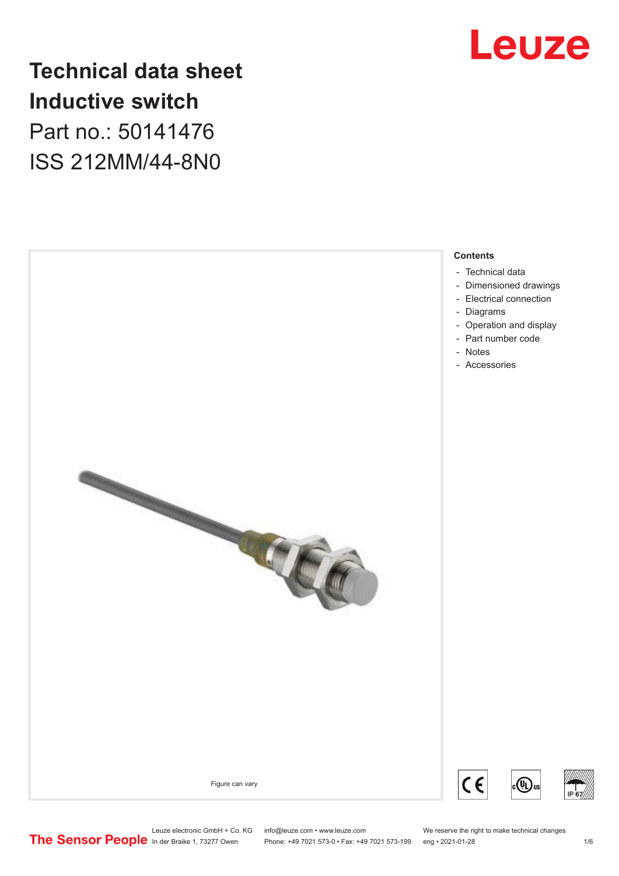

# **Technical data sheet Inductive switch** Part no.: 50141476

ISS 212MM/44-8N0

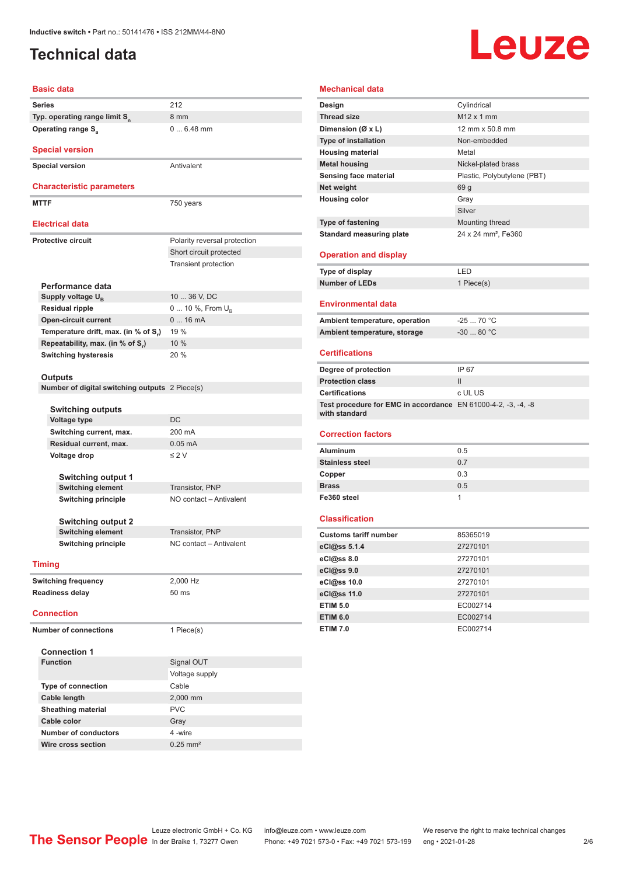# <span id="page-1-0"></span>**Technical data**

# Leuze

#### **Basic data**

|                              | <b>Dasic data</b>                                 |                              |
|------------------------------|---------------------------------------------------|------------------------------|
|                              | <b>Series</b>                                     | 212                          |
|                              | Typ. operating range limit S <sub>n</sub>         | 8 mm                         |
|                              | <b>Operating range S</b>                          | $06.48$ mm                   |
|                              |                                                   |                              |
|                              | <b>Special version</b>                            |                              |
|                              | <b>Special version</b>                            | Antivalent                   |
|                              |                                                   |                              |
|                              | <b>Characteristic parameters</b>                  |                              |
|                              | <b>MTTF</b>                                       | 750 years                    |
|                              | <b>Electrical data</b>                            |                              |
|                              |                                                   |                              |
|                              | Protective circuit                                | Polarity reversal protection |
|                              |                                                   | Short circuit protected      |
|                              |                                                   | Transient protection         |
|                              |                                                   |                              |
|                              | Performance data                                  |                              |
|                              | Supply voltage U <sub>B</sub>                     | 10  36 V, DC                 |
|                              | <b>Residual ripple</b>                            | 0  10 %, From U <sub>p</sub> |
|                              | <b>Open-circuit current</b>                       | 016mA                        |
|                              | Temperature drift, max. (in % of S <sub>r</sub> ) | 19 %                         |
|                              | Repeatability, max. (in % of S.)                  | 10 %                         |
|                              | <b>Switching hysteresis</b>                       | 20 %                         |
|                              |                                                   |                              |
|                              | Outputs                                           |                              |
|                              | Number of digital switching outputs 2 Piece(s)    |                              |
|                              |                                                   |                              |
|                              | <b>Switching outputs</b>                          |                              |
|                              | <b>Voltage type</b>                               | DC                           |
|                              | Switching current, max.                           | 200 mA                       |
|                              | Residual current, max.                            | $0.05$ mA                    |
|                              | Voltage drop                                      | $\leq$ 2 V                   |
|                              |                                                   |                              |
|                              | <b>Switching output 1</b>                         |                              |
|                              | <b>Switching element</b>                          | Transistor, PNP              |
|                              | <b>Switching principle</b>                        | NO contact - Antivalent      |
|                              |                                                   |                              |
|                              | <b>Switching output 2</b>                         |                              |
|                              | <b>Switching element</b>                          | Transistor, PNP              |
|                              | <b>Switching principle</b>                        | NC contact - Antivalent      |
|                              |                                                   |                              |
|                              | <b>Timing</b>                                     |                              |
|                              | <b>Switching frequency</b>                        | 2,000 Hz                     |
|                              | <b>Readiness delay</b>                            | 50 ms                        |
|                              |                                                   |                              |
|                              | <b>Connection</b>                                 |                              |
| <b>Number of connections</b> |                                                   | 1 Piece(s)                   |
|                              |                                                   |                              |
|                              | <b>Connection 1</b>                               |                              |
|                              | <b>Function</b>                                   | Signal OUT                   |
|                              |                                                   | Voltage supply               |
|                              | <b>Type of connection</b>                         | Cable                        |
|                              | Cable length                                      | 2,000 mm                     |
|                              | <b>Sheathing material</b>                         | <b>PVC</b>                   |
|                              | Cable color                                       | Gray                         |
|                              | <b>Number of conductors</b>                       | 4-wire                       |
|                              | Wire cross section                                | $0.25$ mm <sup>2</sup>       |
|                              |                                                   |                              |

#### **Mechanical data**

| Design                                                        | Cylindrical                     |
|---------------------------------------------------------------|---------------------------------|
| <b>Thread size</b>                                            | $M12 \times 1$ mm               |
| Dimension (Ø x L)                                             | 12 mm x 50.8 mm                 |
| <b>Type of installation</b>                                   | Non-embedded                    |
| <b>Housing material</b>                                       | Metal                           |
| <b>Metal housing</b>                                          | Nickel-plated brass             |
| Sensing face material                                         | Plastic, Polybutylene (PBT)     |
| Net weight                                                    | 69 g                            |
| <b>Housing color</b>                                          | Gray                            |
|                                                               | Silver                          |
| Type of fastening                                             | Mounting thread                 |
| <b>Standard measuring plate</b>                               | 24 x 24 mm <sup>2</sup> , Fe360 |
|                                                               |                                 |
| <b>Operation and display</b>                                  |                                 |
| Type of display                                               | LED                             |
| <b>Number of LEDs</b>                                         | 1 Piece(s)                      |
|                                                               |                                 |
| <b>Environmental data</b>                                     |                                 |
| Ambient temperature, operation                                | $-2570 °C$                      |
| Ambient temperature, storage                                  | $-30$ 80 °C                     |
|                                                               |                                 |
| <b>Certifications</b>                                         |                                 |
| Degree of protection                                          | IP 67                           |
| <b>Protection class</b>                                       | $\mathsf{II}$                   |
| <b>Certifications</b>                                         | c UL US                         |
| Test procedure for EMC in accordance EN 61000-4-2, -3, -4, -8 |                                 |
| with standard                                                 |                                 |
|                                                               |                                 |
| <b>Correction factors</b>                                     |                                 |
| <b>Aluminum</b>                                               | 0.5                             |
| <b>Stainless steel</b>                                        | 0.7                             |
| Copper                                                        | 0.3                             |
| <b>Brass</b>                                                  | 0.5                             |
| Fe360 steel                                                   | 1                               |
|                                                               |                                 |
| <b>Classification</b>                                         |                                 |
|                                                               |                                 |
| <b>Customs tariff number</b>                                  | 85365019                        |
| eCl@ss 5.1.4                                                  | 27270101                        |
| eCl@ss 8.0                                                    | 27270101                        |
| eCl@ss 9.0                                                    | 27270101                        |
| eCl@ss 10.0                                                   | 27270101                        |
| eCl@ss 11.0                                                   | 27270101                        |
| <b>ETIM 5.0</b>                                               | EC002714                        |
|                                                               |                                 |
| <b>ETIM 6.0</b>                                               | EC002714                        |
| <b>ETIM 7.0</b>                                               | EC002714                        |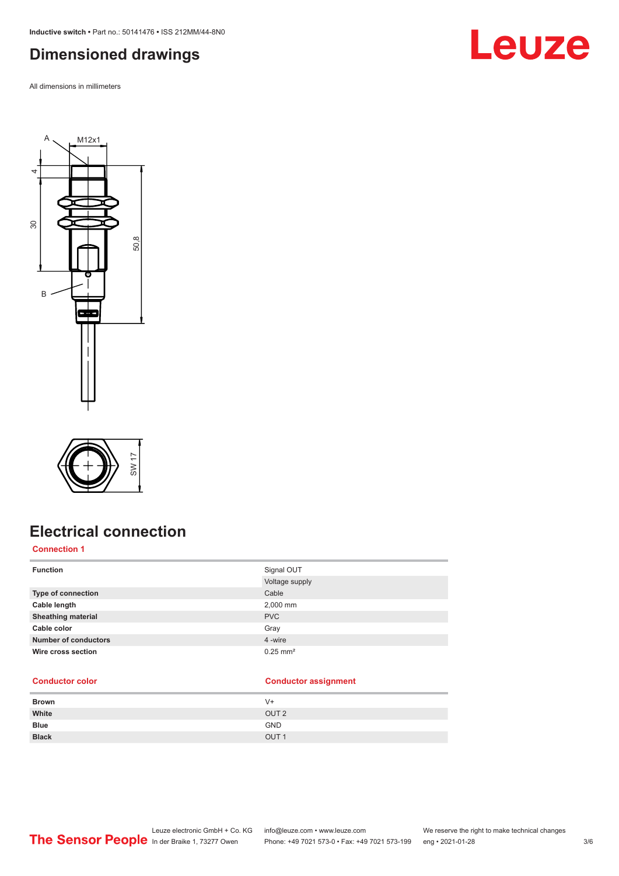<span id="page-2-0"></span>**Inductive switch •** Part no.: 50141476 **•** ISS 212MM/44-8N0

# **Dimensioned drawings**

All dimensions in millimeters







# **Electrical connection**

#### **Connection 1**

| <b>Function</b>             | Signal OUT<br>Voltage supply |
|-----------------------------|------------------------------|
| Type of connection          | Cable                        |
| Cable length                | 2,000 mm                     |
| <b>Sheathing material</b>   | <b>PVC</b>                   |
| Cable color                 | Gray                         |
| <b>Number of conductors</b> | 4 -wire                      |
| Wire cross section          | $0.25$ mm <sup>2</sup>       |

#### **Conductor color Conductor assignment**

| <b>Brown</b> | $V +$            |
|--------------|------------------|
| White        | OUT <sub>2</sub> |
| <b>Blue</b>  | <b>GND</b>       |
| <b>Black</b> | OUT <sub>1</sub> |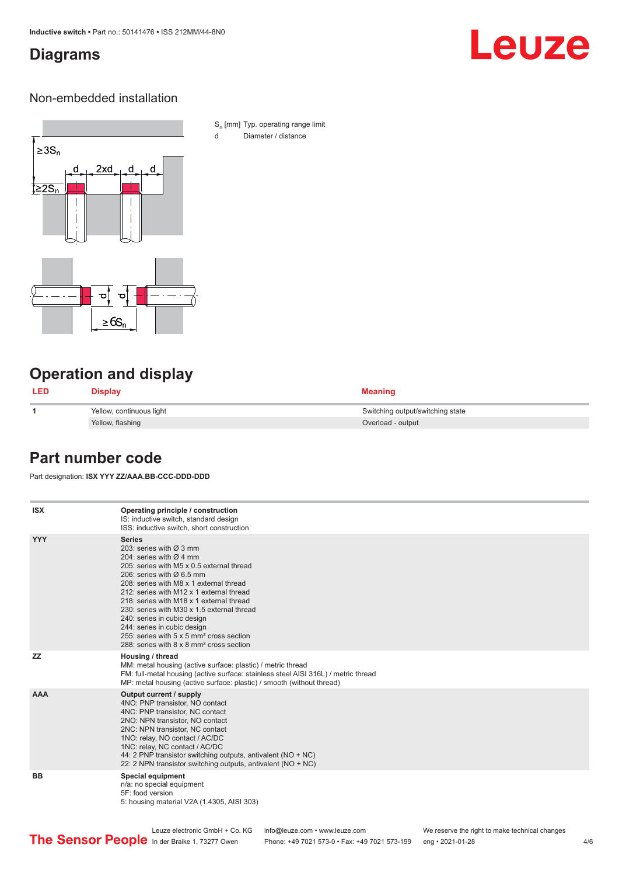# <span id="page-3-0"></span>**Diagrams**

# Leuze

### Non-embedded installation



S<sub>n</sub> [mm] Typ. operating range limit d Diameter / distance

# **Operation and display**

| <b>LED</b> | <b>Display</b>           | <b>Meaning</b>                   |
|------------|--------------------------|----------------------------------|
|            | Yellow, continuous light | Switching output/switching state |
|            | Yellow, flashing         | Overload - output                |

## **Part number code**

Part designation: **ISX YYY ZZ/AAA.BB-CCC-DDD-DDD**

| <b>ISX</b> | Operating principle / construction<br>IS: inductive switch, standard design<br>ISS: inductive switch, short construction                                                                                                                                                                                                                                                                                                                                                                                                                         |
|------------|--------------------------------------------------------------------------------------------------------------------------------------------------------------------------------------------------------------------------------------------------------------------------------------------------------------------------------------------------------------------------------------------------------------------------------------------------------------------------------------------------------------------------------------------------|
| <b>YYY</b> | <b>Series</b><br>203: series with $\varnothing$ 3 mm<br>204: series with $\varnothing$ 4 mm<br>205: series with M5 x 0.5 external thread<br>206: series with $\varnothing$ 6.5 mm<br>208: series with M8 x 1 external thread<br>212: series with M12 x 1 external thread<br>218: series with M18 x 1 external thread<br>230: series with M30 x 1.5 external thread<br>240: series in cubic design<br>244: series in cubic design<br>255: series with 5 x 5 mm <sup>2</sup> cross section<br>288: series with 8 x 8 mm <sup>2</sup> cross section |
| <b>ZZ</b>  | Housing / thread<br>MM: metal housing (active surface: plastic) / metric thread<br>FM: full-metal housing (active surface: stainless steel AISI 316L) / metric thread<br>MP: metal housing (active surface: plastic) / smooth (without thread)                                                                                                                                                                                                                                                                                                   |
| <b>AAA</b> | Output current / supply<br>4NO: PNP transistor, NO contact<br>4NC: PNP transistor, NC contact<br>2NO: NPN transistor, NO contact<br>2NC: NPN transistor, NC contact<br>1NO: relay, NO contact / AC/DC<br>1NC: relay, NC contact / AC/DC<br>44: 2 PNP transistor switching outputs, antivalent (NO + NC)<br>22: 2 NPN transistor switching outputs, antivalent (NO + NC)                                                                                                                                                                          |
| <b>BB</b>  | <b>Special equipment</b><br>n/a: no special equipment<br>5F: food version<br>5: housing material V2A (1.4305, AISI 303)                                                                                                                                                                                                                                                                                                                                                                                                                          |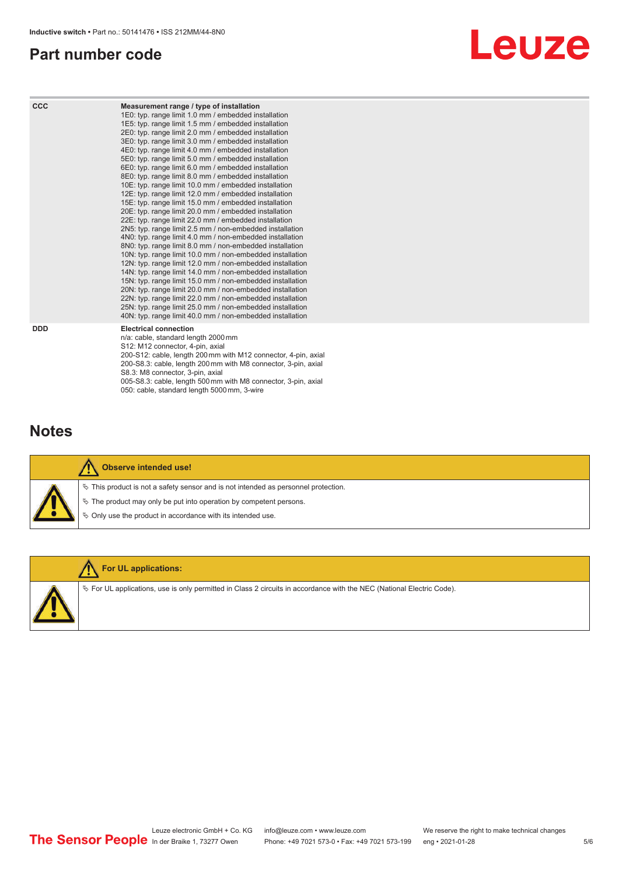# <span id="page-4-0"></span>**Part number code**



| <b>CCC</b> | Measurement range / type of installation<br>1E0: typ. range limit 1.0 mm / embedded installation<br>1E5: typ. range limit 1.5 mm / embedded installation<br>2E0: typ. range limit 2.0 mm / embedded installation<br>3E0: typ. range limit 3.0 mm / embedded installation<br>4E0: typ. range limit 4.0 mm / embedded installation<br>5E0: typ. range limit 5.0 mm / embedded installation<br>6E0: typ. range limit 6.0 mm / embedded installation<br>8E0: typ. range limit 8.0 mm / embedded installation<br>10E: typ. range limit 10.0 mm / embedded installation<br>12E: typ. range limit 12.0 mm / embedded installation<br>15E: typ. range limit 15.0 mm / embedded installation<br>20E: typ. range limit 20.0 mm / embedded installation<br>22E: typ. range limit 22.0 mm / embedded installation<br>2N5: typ. range limit 2.5 mm / non-embedded installation<br>4N0: typ. range limit 4.0 mm / non-embedded installation<br>8N0: typ. range limit 8.0 mm / non-embedded installation<br>10N: typ. range limit 10.0 mm / non-embedded installation<br>12N: typ. range limit 12.0 mm / non-embedded installation<br>14N: typ. range limit 14.0 mm / non-embedded installation<br>15N: typ. range limit 15.0 mm / non-embedded installation<br>20N: typ. range limit 20.0 mm / non-embedded installation<br>22N: typ. range limit 22.0 mm / non-embedded installation<br>25N: typ. range limit 25.0 mm / non-embedded installation<br>40N: typ. range limit 40.0 mm / non-embedded installation |
|------------|---------------------------------------------------------------------------------------------------------------------------------------------------------------------------------------------------------------------------------------------------------------------------------------------------------------------------------------------------------------------------------------------------------------------------------------------------------------------------------------------------------------------------------------------------------------------------------------------------------------------------------------------------------------------------------------------------------------------------------------------------------------------------------------------------------------------------------------------------------------------------------------------------------------------------------------------------------------------------------------------------------------------------------------------------------------------------------------------------------------------------------------------------------------------------------------------------------------------------------------------------------------------------------------------------------------------------------------------------------------------------------------------------------------------------------------------------------------------------------------------------|
| <b>DDD</b> | <b>Electrical connection</b><br>n/a: cable, standard length 2000 mm<br>S12: M12 connector, 4-pin, axial<br>200-S12: cable, length 200 mm with M12 connector, 4-pin, axial<br>200-S8.3: cable, length 200 mm with M8 connector, 3-pin, axial<br>S8.3: M8 connector, 3-pin, axial                                                                                                                                                                                                                                                                                                                                                                                                                                                                                                                                                                                                                                                                                                                                                                                                                                                                                                                                                                                                                                                                                                                                                                                                                   |

# **Notes**



#### **Observe intended use!**

 $\%$  This product is not a safety sensor and is not intended as personnel protection.

005-S8.3: cable, length 500 mm with M8 connector, 3-pin, axial

 $\%$  The product may only be put into operation by competent persons.

050: cable, standard length 5000 mm, 3-wire

 $\%$  Only use the product in accordance with its intended use.



#### **For UL applications:**

 $\%$  For UL applications, use is only permitted in Class 2 circuits in accordance with the NEC (National Electric Code).